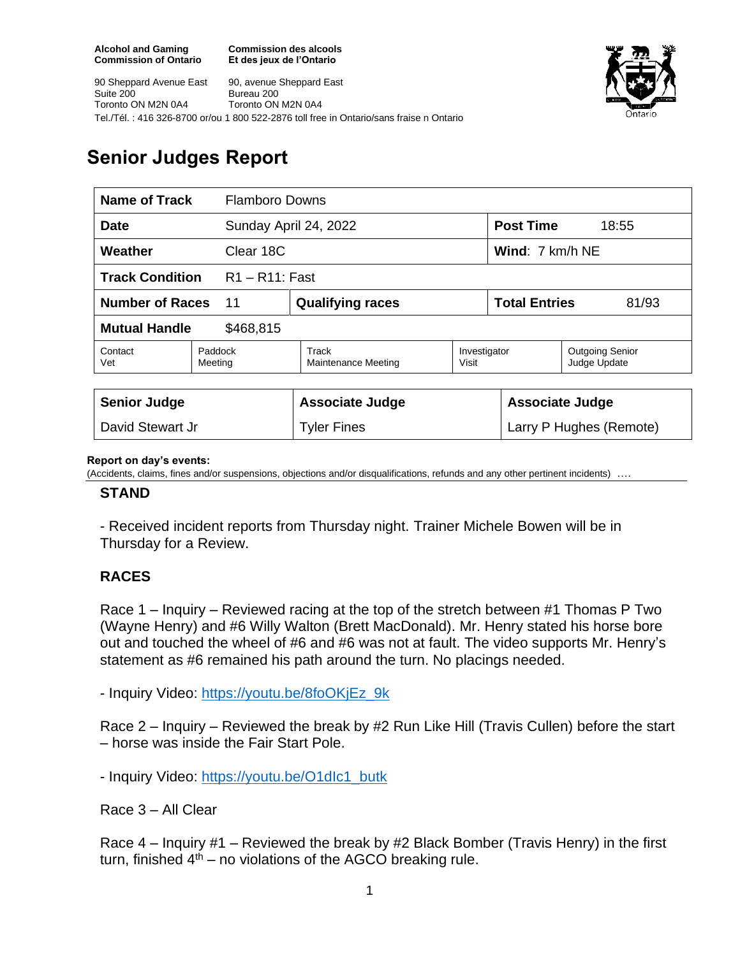**Commission des alcools Et des jeux de l'Ontario**



90 Sheppard Avenue East Suite 200 Toronto ON M2N 0A4 90, avenue Sheppard East Bureau 200 Toronto ON M2N 0A4 Tel./Tél. : 416 326-8700 or/ou 1 800 522-2876 toll free in Ontario/sans fraise n Ontario

# **Senior Judges Report**

| Name of Track<br><b>Flamboro Downs</b>      |  |                                     |                       |                                  |                                        |
|---------------------------------------------|--|-------------------------------------|-----------------------|----------------------------------|----------------------------------------|
| <b>Date</b>                                 |  | Sunday April 24, 2022               |                       | <b>Post Time</b><br>18:55        |                                        |
| Weather<br>Clear 18C                        |  |                                     |                       | <b>Wind:</b> $7 \text{ km/h}$ NE |                                        |
| <b>Track Condition</b><br>$R1 - R11$ : Fast |  |                                     |                       |                                  |                                        |
| <b>Number of Races</b><br>11                |  | <b>Qualifying races</b>             |                       | <b>Total Entries</b><br>81/93    |                                        |
| <b>Mutual Handle</b><br>\$468,815           |  |                                     |                       |                                  |                                        |
| Contact<br>Paddock<br>Vet<br>Meeting        |  | Track<br><b>Maintenance Meeting</b> | Investigator<br>Visit |                                  | <b>Outgoing Senior</b><br>Judge Update |
|                                             |  |                                     |                       |                                  |                                        |
| <b>Senior Judge</b>                         |  | <b>Associate Judge</b>              |                       | <b>Associate Judge</b>           |                                        |
| David Stewart Jr                            |  | <b>Tyler Fines</b>                  |                       | Larry P Hughes (Remote)          |                                        |

#### **Report on day's events:**

(Accidents, claims, fines and/or suspensions, objections and/or disqualifications, refunds and any other pertinent incidents) ….

### **STAND**

- Received incident reports from Thursday night. Trainer Michele Bowen will be in Thursday for a Review.

## **RACES**

Race 1 – Inquiry – Reviewed racing at the top of the stretch between #1 Thomas P Two (Wayne Henry) and #6 Willy Walton (Brett MacDonald). Mr. Henry stated his horse bore out and touched the wheel of #6 and #6 was not at fault. The video supports Mr. Henry's statement as #6 remained his path around the turn. No placings needed.

- Inquiry Video: [https://youtu.be/8foOKjEz\\_9k](https://youtu.be/8foOKjEz_9k)

Race 2 – Inquiry – Reviewed the break by #2 Run Like Hill (Travis Cullen) before the start – horse was inside the Fair Start Pole.

- Inquiry Video: https://youtu.be/O1dlc1\_butk

Race 3 – All Clear

Race 4 – Inquiry #1 – Reviewed the break by #2 Black Bomber (Travis Henry) in the first turn, finished  $4<sup>th</sup>$  – no violations of the AGCO breaking rule.